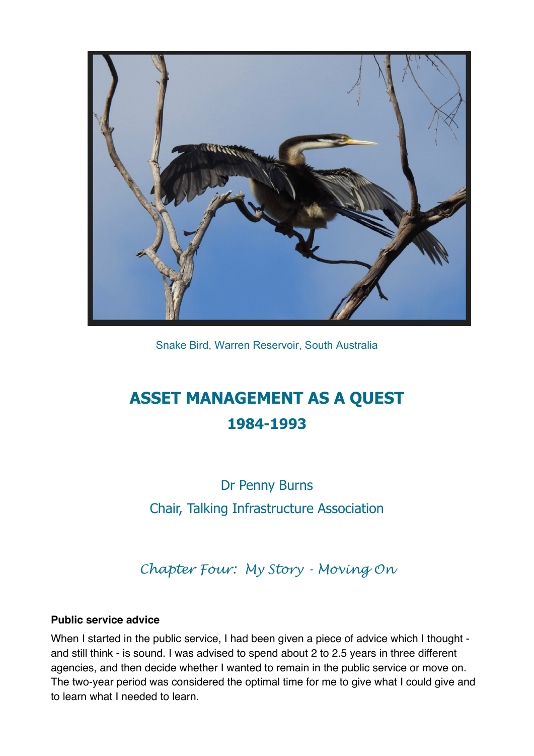

Snake Bird, Warren Reservoir, South Australia

# **ASSET MANAGEMENT AS A QUEST 1984-1993**

Dr Penny Burns Chair, Talking Infrastructure Association

*Chapter Four: My Story - Moving On*

#### **Public service advice**

When I started in the public service, I had been given a piece of advice which I thought and still think - is sound. I was advised to spend about 2 to 2.5 years in three different agencies, and then decide whether I wanted to remain in the public service or move on. The two-year period was considered the optimal time for me to give what I could give and to learn what I needed to learn.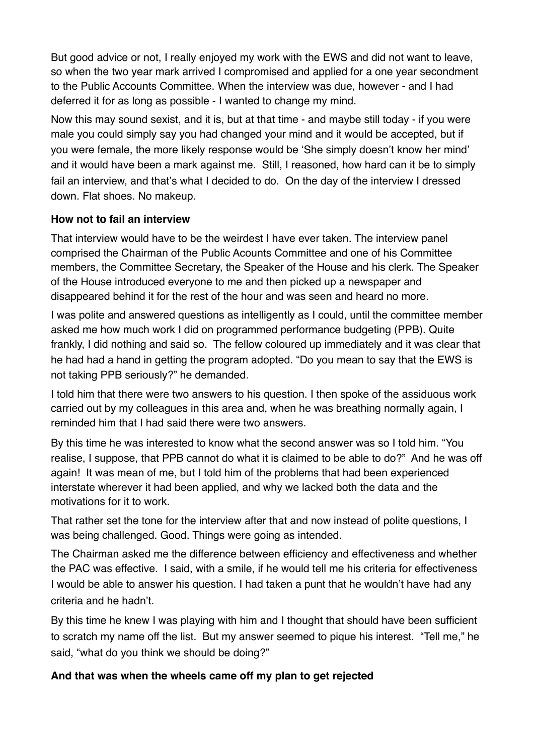But good advice or not, I really enjoyed my work with the EWS and did not want to leave, so when the two year mark arrived I compromised and applied for a one year secondment to the Public Accounts Committee. When the interview was due, however - and I had deferred it for as long as possible - I wanted to change my mind.

Now this may sound sexist, and it is, but at that time - and maybe still today - if you were male you could simply say you had changed your mind and it would be accepted, but if you were female, the more likely response would be 'She simply doesn't know her mind' and it would have been a mark against me. Still, I reasoned, how hard can it be to simply fail an interview, and that's what I decided to do. On the day of the interview I dressed down. Flat shoes. No makeup.

### **How not to fail an interview**

That interview would have to be the weirdest I have ever taken. The interview panel comprised the Chairman of the Public Acounts Committee and one of his Committee members, the Committee Secretary, the Speaker of the House and his clerk. The Speaker of the House introduced everyone to me and then picked up a newspaper and disappeared behind it for the rest of the hour and was seen and heard no more.

I was polite and answered questions as intelligently as I could, until the committee member asked me how much work I did on programmed performance budgeting (PPB). Quite frankly, I did nothing and said so. The fellow coloured up immediately and it was clear that he had had a hand in getting the program adopted. "Do you mean to say that the EWS is not taking PPB seriously?" he demanded.

I told him that there were two answers to his question. I then spoke of the assiduous work carried out by my colleagues in this area and, when he was breathing normally again, I reminded him that I had said there were two answers.

By this time he was interested to know what the second answer was so I told him. "You realise, I suppose, that PPB cannot do what it is claimed to be able to do?" And he was off again! It was mean of me, but I told him of the problems that had been experienced interstate wherever it had been applied, and why we lacked both the data and the motivations for it to work.

That rather set the tone for the interview after that and now instead of polite questions, I was being challenged. Good. Things were going as intended.

The Chairman asked me the difference between efficiency and effectiveness and whether the PAC was effective. I said, with a smile, if he would tell me his criteria for effectiveness I would be able to answer his question. I had taken a punt that he wouldn"t have had any criteria and he hadn"t.

By this time he knew I was playing with him and I thought that should have been sufficient to scratch my name off the list. But my answer seemed to pique his interest. "Tell me," he said, "what do you think we should be doing?"

# **And that was when the wheels came off my plan to get rejected**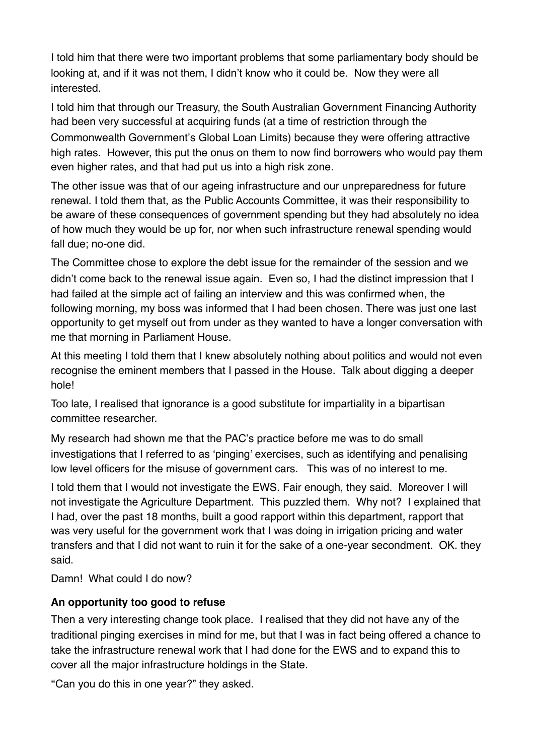I told him that there were two important problems that some parliamentary body should be looking at, and if it was not them, I didn"t know who it could be. Now they were all interested.

I told him that through our Treasury, the South Australian Government Financing Authority had been very successful at acquiring funds (at a time of restriction through the Commonwealth Government"s Global Loan Limits) because they were offering attractive high rates. However, this put the onus on them to now find borrowers who would pay them even higher rates, and that had put us into a high risk zone.

The other issue was that of our ageing infrastructure and our unpreparedness for future renewal. I told them that, as the Public Accounts Committee, it was their responsibility to be aware of these consequences of government spending but they had absolutely no idea of how much they would be up for, nor when such infrastructure renewal spending would fall due; no-one did.

The Committee chose to explore the debt issue for the remainder of the session and we didn"t come back to the renewal issue again. Even so, I had the distinct impression that I had failed at the simple act of failing an interview and this was confirmed when, the following morning, my boss was informed that I had been chosen. There was just one last opportunity to get myself out from under as they wanted to have a longer conversation with me that morning in Parliament House.

At this meeting I told them that I knew absolutely nothing about politics and would not even recognise the eminent members that I passed in the House. Talk about digging a deeper hole!

Too late, I realised that ignorance is a good substitute for impartiality in a bipartisan committee researcher.

My research had shown me that the PAC"s practice before me was to do small investigations that I referred to as 'pinging' exercises, such as identifying and penalising low level officers for the misuse of government cars. This was of no interest to me.

I told them that I would not investigate the EWS. Fair enough, they said. Moreover I will not investigate the Agriculture Department. This puzzled them. Why not? I explained that I had, over the past 18 months, built a good rapport within this department, rapport that was very useful for the government work that I was doing in irrigation pricing and water transfers and that I did not want to ruin it for the sake of a one-year secondment. OK. they said.

Damn! What could I do now?

# **An opportunity too good to refuse**

Then a very interesting change took place. I realised that they did not have any of the traditional pinging exercises in mind for me, but that I was in fact being offered a chance to take the infrastructure renewal work that I had done for the EWS and to expand this to cover all the major infrastructure holdings in the State.

"Can you do this in one year?" they asked.